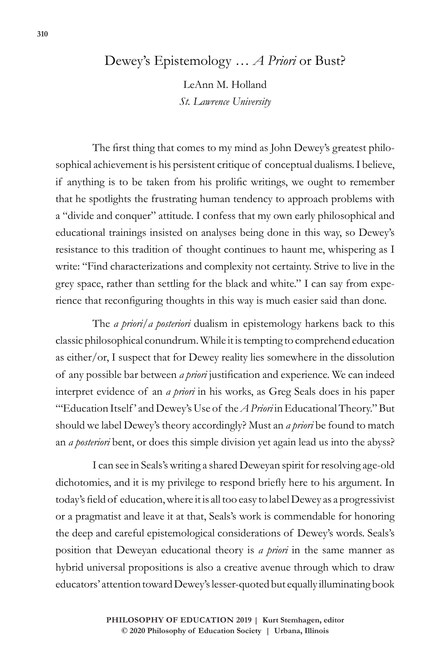## Dewey's Epistemology … *A Priori* or Bust?

LeAnn M. Holland *St. Lawrence University*

The first thing that comes to my mind as John Dewey's greatest philosophical achievement is his persistent critique of conceptual dualisms. I believe, if anything is to be taken from his prolific writings, we ought to remember that he spotlights the frustrating human tendency to approach problems with a "divide and conquer" attitude. I confess that my own early philosophical and educational trainings insisted on analyses being done in this way, so Dewey's resistance to this tradition of thought continues to haunt me, whispering as I write: "Find characterizations and complexity not certainty. Strive to live in the grey space, rather than settling for the black and white." I can say from experience that reconfiguring thoughts in this way is much easier said than done.

The *a priori*/*a posteriori* dualism in epistemology harkens back to this classic philosophical conundrum. While it is tempting to comprehend education as either/or, I suspect that for Dewey reality lies somewhere in the dissolution of any possible bar between *a priori* justification and experience. We can indeed interpret evidence of an *a priori* in his works, as Greg Seals does in his paper "'Education Itself' and Dewey's Use of the *A Priori* in Educational Theory." But should we label Dewey's theory accordingly? Must an *a priori* be found to match an *a posteriori* bent, or does this simple division yet again lead us into the abyss?

I can see in Seals's writing a shared Deweyan spirit for resolving age-old dichotomies, and it is my privilege to respond briefly here to his argument. In today's field of education, where it is all too easy to label Dewey as a progressivist or a pragmatist and leave it at that, Seals's work is commendable for honoring the deep and careful epistemological considerations of Dewey's words. Seals's position that Deweyan educational theory is *a priori* in the same manner as hybrid universal propositions is also a creative avenue through which to draw educators' attention toward Dewey's lesser-quoted but equally illuminating book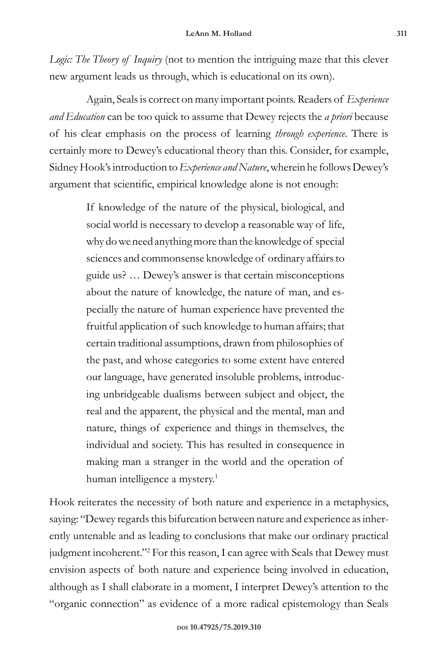*Logic: The Theory of Inquiry* (not to mention the intriguing maze that this clever new argument leads us through, which is educational on its own).

Again, Seals is correct on many important points. Readers of *Experience and Education* can be too quick to assume that Dewey rejects the *a priori* because of his clear emphasis on the process of learning *through experience*. There is certainly more to Dewey's educational theory than this. Consider, for example, Sidney Hook's introduction to *Experience and Nature*, wherein he follows Dewey's argument that scientific, empirical knowledge alone is not enough:

> If knowledge of the nature of the physical, biological, and social world is necessary to develop a reasonable way of life, why do we need anything more than the knowledge of special sciences and commonsense knowledge of ordinary affairs to guide us? … Dewey's answer is that certain misconceptions about the nature of knowledge, the nature of man, and especially the nature of human experience have prevented the fruitful application of such knowledge to human affairs; that certain traditional assumptions, drawn from philosophies of the past, and whose categories to some extent have entered our language, have generated insoluble problems, introducing unbridgeable dualisms between subject and object, the real and the apparent, the physical and the mental, man and nature, things of experience and things in themselves, the individual and society. This has resulted in consequence in making man a stranger in the world and the operation of human intelligence a mystery.<sup>1</sup>

Hook reiterates the necessity of both nature and experience in a metaphysics, saying: "Dewey regards this bifurcation between nature and experience as inherently untenable and as leading to conclusions that make our ordinary practical judgment incoherent."<sup>2</sup> For this reason, I can agree with Seals that Dewey must envision aspects of both nature and experience being involved in education, although as I shall elaborate in a moment, I interpret Dewey's attention to the "organic connection" as evidence of a more radical epistemology than Seals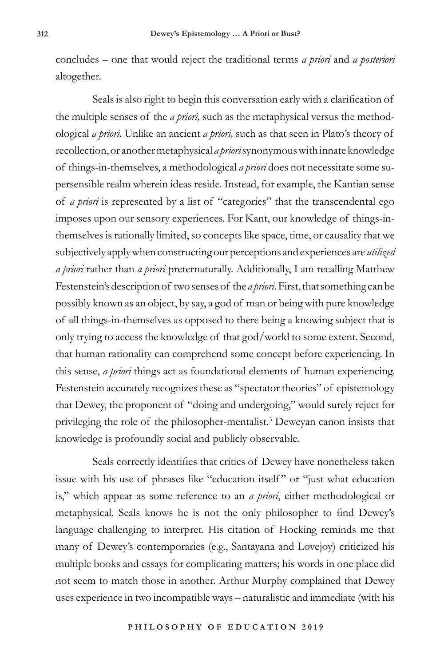concludes – one that would reject the traditional terms *a priori* and *a posteriori* altogether.

Seals is also right to begin this conversation early with a clarification of the multiple senses of the *a priori,* such as the metaphysical versus the methodological *a priori.* Unlike an ancient *a priori,* such as that seen in Plato's theory of recollection, or another metaphysical *a priori* synonymous with innate knowledge of things-in-themselves, a methodological *a priori* does not necessitate some supersensible realm wherein ideas reside. Instead, for example, the Kantian sense of *a priori* is represented by a list of "categories" that the transcendental ego imposes upon our sensory experiences. For Kant, our knowledge of things-inthemselves is rationally limited, so concepts like space, time, or causality that we subjectively apply when constructing our perceptions and experiences are *utilized a priori* rather than *a priori* preternaturally. Additionally, I am recalling Matthew Festenstein's description of two senses of the *a priori*. First, that something can be possibly known as an object, by say, a god of man or being with pure knowledge of all things-in-themselves as opposed to there being a knowing subject that is only trying to access the knowledge of that god/world to some extent. Second, that human rationality can comprehend some concept before experiencing. In this sense, *a priori* things act as foundational elements of human experiencing. Festenstein accurately recognizes these as "spectator theories" of epistemology that Dewey, the proponent of "doing and undergoing," would surely reject for privileging the role of the philosopher-mentalist.<sup>3</sup> Deweyan canon insists that knowledge is profoundly social and publicly observable.

Seals correctly identifies that critics of Dewey have nonetheless taken issue with his use of phrases like "education itself" or "just what education is," which appear as some reference to an *a priori*, either methodological or metaphysical. Seals knows he is not the only philosopher to find Dewey's language challenging to interpret. His citation of Hocking reminds me that many of Dewey's contemporaries (e.g., Santayana and Lovejoy) criticized his multiple books and essays for complicating matters; his words in one place did not seem to match those in another. Arthur Murphy complained that Dewey uses experience in two incompatible ways – naturalistic and immediate (with his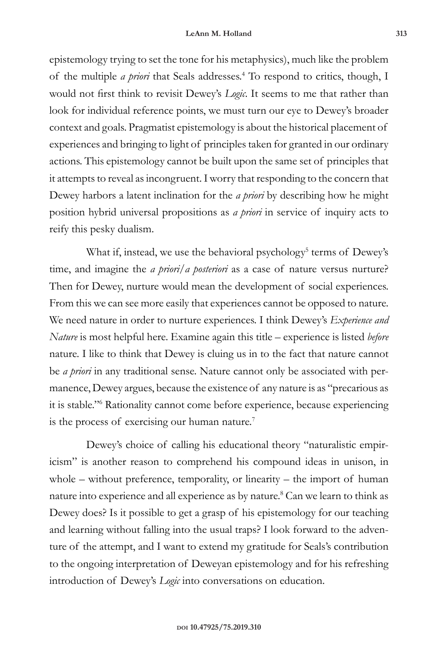epistemology trying to set the tone for his metaphysics), much like the problem of the multiple *a priori* that Seals addresses.<sup>4</sup> To respond to critics, though, I would not first think to revisit Dewey's *Logic*. It seems to me that rather than look for individual reference points, we must turn our eye to Dewey's broader context and goals. Pragmatist epistemology is about the historical placement of experiences and bringing to light of principles taken for granted in our ordinary actions. This epistemology cannot be built upon the same set of principles that it attempts to reveal as incongruent. I worry that responding to the concern that Dewey harbors a latent inclination for the *a priori* by describing how he might position hybrid universal propositions as *a priori* in service of inquiry acts to reify this pesky dualism.

What if, instead, we use the behavioral psychology<sup>5</sup> terms of Dewey's time, and imagine the *a priori*/*a posteriori* as a case of nature versus nurture? Then for Dewey, nurture would mean the development of social experiences. From this we can see more easily that experiences cannot be opposed to nature. We need nature in order to nurture experiences. I think Dewey's *Experience and Nature* is most helpful here. Examine again this title – experience is listed *before*  nature. I like to think that Dewey is cluing us in to the fact that nature cannot be *a priori* in any traditional sense. Nature cannot only be associated with permanence, Dewey argues, because the existence of any nature is as "precarious as it is stable."<sup>6</sup> Rationality cannot come before experience, because experiencing is the process of exercising our human nature.<sup>7</sup>

Dewey's choice of calling his educational theory "naturalistic empiricism" is another reason to comprehend his compound ideas in unison, in whole – without preference, temporality, or linearity – the import of human nature into experience and all experience as by nature.<sup>8</sup> Can we learn to think as Dewey does? Is it possible to get a grasp of his epistemology for our teaching and learning without falling into the usual traps? I look forward to the adventure of the attempt, and I want to extend my gratitude for Seals's contribution to the ongoing interpretation of Deweyan epistemology and for his refreshing introduction of Dewey's *Logic* into conversations on education.